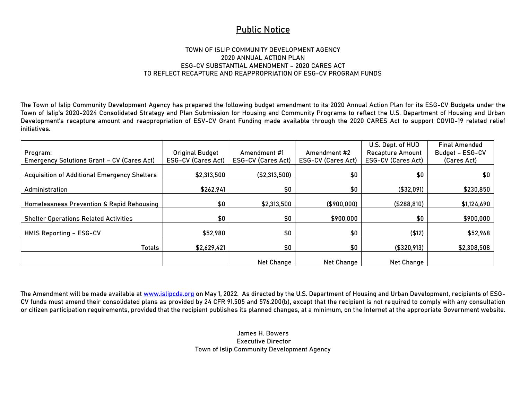## **Public Notice**

## **TOWN OF ISLIP COMMUNITY DEVELOPMENT AGENCY 2020 ANNUAL ACTION PLAN ESG-CV SUBSTANTIAL AMENDMENT – 2020 CARES ACT TO REFLECT RECAPTURE AND REAPPROPRIATION OF ESG-CV PROGRAM FUNDS**

The Town of Islip Community Development Agency has prepared the following budget amendment to its 2020 Annual Action Plan for its ESG-CV Budgets under the Town of Islip's 2020-2024 Consolidated Strategy and Plan Submission for Housing and Community Programs to reflect the U.S. Department of Housing and Urban Development's recapture amount and reappropriation of ESV-CV Grant Funding made available through the 2020 CARES Act to support COVID-19 related relief initiatives.

| Program:<br><b>Emergency Solutions Grant - CV (Cares Act)</b> | <b>Original Budget</b><br><b>ESG-CV (Cares Act)</b> | Amendment #1<br>ESG-CV (Cares Act) | Amendment #2<br><b>ESG-CV (Cares Act)</b> | U.S. Dept. of HUD<br><b>Recapture Amount</b><br><b>ESG-CV (Cares Act)</b> | <b>Final Amended</b><br>Budget - ESG-CV<br>(Cares Act) |
|---------------------------------------------------------------|-----------------------------------------------------|------------------------------------|-------------------------------------------|---------------------------------------------------------------------------|--------------------------------------------------------|
|                                                               |                                                     |                                    |                                           |                                                                           |                                                        |
| <b>Acquisition of Additional Emergency Shelters</b>           | \$2,313,500                                         | ( \$2,313,500)                     | \$0                                       | \$0                                                                       | \$0                                                    |
| Administration                                                | \$262,941                                           | \$0                                | \$0                                       | (\$32,091)                                                                | \$230,850                                              |
| Homelessness Prevention & Rapid Rehousing                     | \$0                                                 | \$2,313,500                        | ( \$900,000)                              | ( \$288, 810)                                                             | \$1,124,690                                            |
| <b>Shelter Operations Related Activities</b>                  | \$0                                                 | \$0                                | \$900,000                                 | \$0                                                                       | \$900,000                                              |
| <b>HMIS Reporting - ESG-CV</b>                                | \$52,980                                            | \$0                                | \$0                                       | ( \$12)                                                                   | \$52,968                                               |
| Totals                                                        | \$2,629,421                                         | \$0                                | \$0                                       | ( \$320, 913)                                                             | \$2,308,508                                            |
|                                                               |                                                     | Net Change                         | Net Change                                | Net Change                                                                |                                                        |

The Amendment will be made available at [www.islipcda.org](http://www.islipcda.org/) on May 1, 2022. As directed by the U.S. Department of Housing and Urban Development, recipients of ESG-CV funds must amend their consolidated plans as provided by 24 CFR 91.505 and 576.200(b), except that the recipient is not required to comply with any consultation or citizen participation requirements, provided that the recipient publishes its planned changes, at a minimum, on the Internet at the appropriate Government website.

> James H. Bowers Executive Director Town of Islip Community Development Agency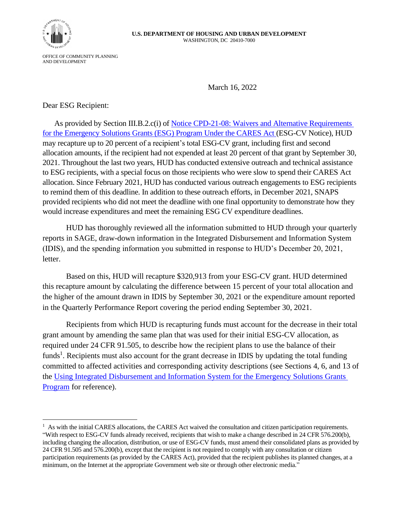

OFFICE OF COMMUNITY PLANNING AND DEVELOPMENT

March 16, 2022

Dear ESG Recipient:

As provided by Section III.B.2.c(i) of Notice CPD-21-08: Waivers and Alternative Requirements [for the Emergency Solutions Grants \(ESG\) Program Under the CARES Act](https://www.hud.gov/sites/dfiles/OCHCO/documents/2021-08cpdn.pdf) (ESG-CV Notice), HUD may recapture up to 20 percent of a recipient's total ESG-CV grant, including first and second allocation amounts, if the recipient had not expended at least 20 percent of that grant by September 30, 2021. Throughout the last two years, HUD has conducted extensive outreach and technical assistance to ESG recipients, with a special focus on those recipients who were slow to spend their CARES Act allocation. Since February 2021, HUD has conducted various outreach engagements to ESG recipients to remind them of this deadline. In addition to these outreach efforts, in December 2021, SNAPS provided recipients who did not meet the deadline with one final opportunity to demonstrate how they would increase expenditures and meet the remaining ESG CV expenditure deadlines.

HUD has thoroughly reviewed all the information submitted to HUD through your quarterly reports in SAGE, draw-down information in the Integrated Disbursement and Information System (IDIS), and the spending information you submitted in response to HUD's December 20, 2021, letter.

Based on this, HUD will recapture \$320,913 from your ESG-CV grant. HUD determined this recapture amount by calculating the difference between 15 percent of your total allocation and the higher of the amount drawn in IDIS by September 30, 2021 or the expenditure amount reported in the Quarterly Performance Report covering the period ending September 30, 2021.

Recipients from which HUD is recapturing funds must account for the decrease in their total grant amount by amending the same plan that was used for their initial ESG-CV allocation, as required under 24 CFR 91.505, to describe how the recipient plans to use the balance of their funds<sup>1</sup>. Recipients must also account for the grant decrease in IDIS by updating the total funding committed to affected activities and corresponding activity descriptions (see Sections 4, 6, and 13 of the [Using Integrated Disbursement and Information System for the Emergency Solutions Grants](https://www.hudexchange.info/resource/1857/using-idis-online-for-the-emergency-solutions-grants-esg-program/)  [Program](https://www.hudexchange.info/resource/1857/using-idis-online-for-the-emergency-solutions-grants-esg-program/) for reference).

 $<sup>1</sup>$  As with the initial CARES allocations, the CARES Act waived the consultation and citizen participation requirements.</sup> "With respect to ESG-CV funds already received, recipients that wish to make a change described in 24 CFR 576.200(b), including changing the allocation, distribution, or use of ESG-CV funds, must amend their consolidated plans as provided by 24 CFR 91.505 and 576.200(b), except that the recipient is not required to comply with any consultation or citizen participation requirements (as provided by the CARES Act), provided that the recipient publishes its planned changes, at a minimum, on the Internet at the appropriate Government web site or through other electronic media."